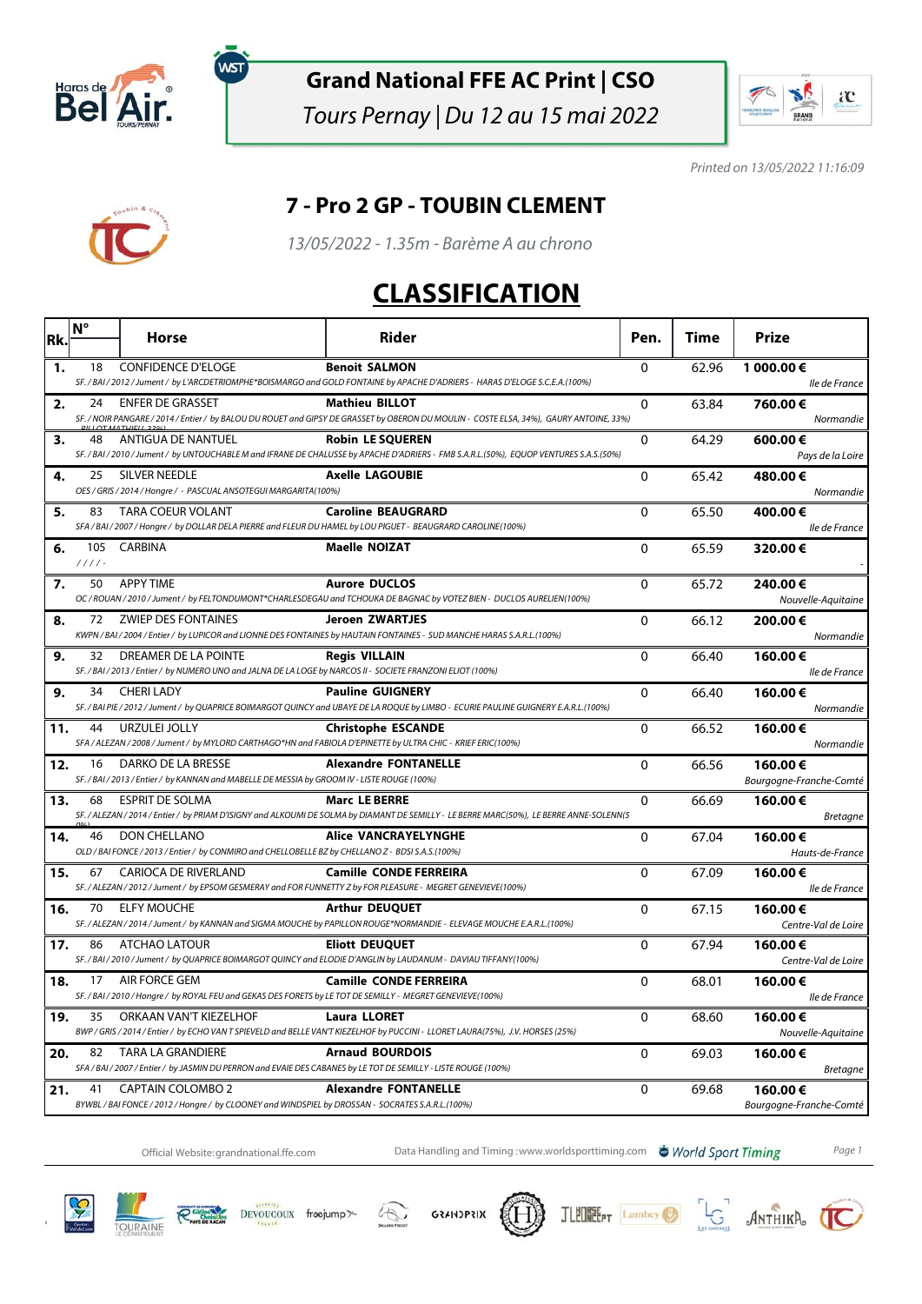

์พรา

#### **Grand National FFE AC Print | CSO**

Tours Pernay | Du 12 au 15 mai 2022



Printed on 13/05/2022 11:16:09

#### **7 - Pro 2 GP - TOUBIN CLEMENT**

13/05/2022 - 1.35m - Barème A au chrono

## **CLASSIFICATION**

| Rk. | $N^{\circ}$     | <b>Horse</b>                                                                                                                         | Rider                                                                                                                                                              | Pen.         | Time  | Prize                              |
|-----|-----------------|--------------------------------------------------------------------------------------------------------------------------------------|--------------------------------------------------------------------------------------------------------------------------------------------------------------------|--------------|-------|------------------------------------|
| 1.  | 18              | <b>CONFIDENCE D'ELOGE</b>                                                                                                            | <b>Benoit SALMON</b><br>SF./BAI/2012/Jument/byL'ARCDETRIOMPHE*BOISMARGO and GOLD FONTAINE by APACHE D'ADRIERS - HARAS D'ELOGE S.C.E.A.(100%)                       | 0            | 62.96 | 1 000.00€<br>lle de France         |
| 2.  | 24              | <b>ENFER DE GRASSET</b>                                                                                                              | <b>Mathieu BILLOT</b><br>SF. / NOIR PANGARE / 2014 / Entier / by BALOU DU ROUET and GIPSY DE GRASSET by OBERON DU MOULIN - COSTE ELSA, 34%), GAURY ANTOINE, 33%)   | $\mathbf{0}$ | 63.84 | 760.00€<br>Normandie               |
| з.  | 48              | <b>ANTIGUA DE NANTUEL</b>                                                                                                            | <b>Robin LE SQUEREN</b><br>SF. / BAI / 2010 / Jument / by UNTOUCHABLE M and IFRANE DE CHALUSSE by APACHE D'ADRIERS - FMB S.A.R.L.(50%), EQUOP VENTURES S.A.S.(50%) | 0            | 64.29 | 600.00€<br>Pays de la Loire        |
| 4.  | 25              | <b>SILVER NEEDLE</b><br>OES / GRIS / 2014 / Hongre / - PASCUAL ANSOTEGUI MARGARITA(100%)                                             | <b>Axelle LAGOUBIE</b>                                                                                                                                             | $\Omega$     | 65.42 | 480.00€<br>Normandie               |
| 5.  | 83              | <b>TARA COEUR VOLANT</b><br>SFA/BAI/2007/Hongre/ by DOLLAR DELA PIERRE and FLEUR DU HAMEL by LOU PIGUET - BEAUGRARD CAROLINE(100%)   | <b>Caroline BEAUGRARD</b>                                                                                                                                          | 0            | 65.50 | 400.00€<br>lle de France           |
| 6.  | 105<br>$1111 -$ | CARBINA                                                                                                                              | <b>Maelle NOIZAT</b>                                                                                                                                               | $\Omega$     | 65.59 | 320.00€                            |
| 7.  | 50              | <b>APPY TIME</b>                                                                                                                     | <b>Aurore DUCLOS</b><br>OC / ROUAN / 2010 / Jument / by FELTONDUMONT*CHARLESDEGAU and TCHOUKA DE BAGNAC by VOTEZ BIEN - DUCLOS AURELIEN(100%)                      | 0            | 65.72 | 240.00€<br>Nouvelle-Aquitaine      |
| 8.  | 72              | <b>ZWIEP DES FONTAINES</b>                                                                                                           | <b>Jeroen ZWARTJES</b><br>KWPN / BAI / 2004 / Entier / by LUPICOR and LIONNE DES FONTAINES by HAUTAIN FONTAINES - SUD MANCHE HARAS S.A.R.L.(100%)                  | $\pmb{0}$    | 66.12 | 200.00€<br>Normandie               |
| 9.  | 32              | DREAMER DE LA POINTE<br>SF. / BAI / 2013 / Entier / by NUMERO UNO and JALNA DE LA LOGE by NARCOS II - SOCIETE FRANZONI ELIOT (100%)  | <b>Regis VILLAIN</b>                                                                                                                                               | $\mathbf 0$  | 66.40 | 160.00€<br>lle de France           |
| 9.  |                 | 34 CHERI LADY                                                                                                                        | <b>Pauline GUIGNERY</b><br>SF. / BAI PIE / 2012 / Jument / by QUAPRICE BOIMARGOT QUINCY and UBAYE DE LA ROQUE by LIMBO - ECURIE PAULINE GUIGNERY E.A.R.L.(100%)    | $\Omega$     | 66.40 | 160.00€<br>Normandie               |
| 11. | 44              | <b>URZULEI JOLLY</b><br>SFA / ALEZAN / 2008 / Jument / by MYLORD CARTHAGO*HN and FABIOLA D'EPINETTE by ULTRA CHIC - KRIEF ERIC(100%) | <b>Christophe ESCANDE</b>                                                                                                                                          | $\mathbf 0$  | 66.52 | 160.00€<br>Normandie               |
| 12. | 16              | DARKO DE LA BRESSE<br>SF./BAI/2013/Entier/ by KANNAN and MABELLE DE MESSIA by GROOM IV - LISTE ROUGE (100%)                          | <b>Alexandre FONTANELLE</b>                                                                                                                                        | 0            | 66.56 | 160.00€<br>Bourgogne-Franche-Comté |
| 13. | 68              | <b>ESPRIT DE SOLMA</b>                                                                                                               | <b>Marc LE BERRE</b><br>SF. / ALEZAN / 2014 / Entier / by PRIAM D'ISIGNY and ALKOUMI DE SOLMA by DIAMANT DE SEMILLY - LE BERRE MARC(50%), LE BERRE ANNE-SOLENN(5   | 0            | 66.69 | 160.00€<br><b>Bretagne</b>         |
| 14. | 46              | DON CHELLANO<br>OLD / BAI FONCE / 2013 / Entier / by CONMIRO and CHELLOBELLE BZ by CHELLANO Z - BDSI S.A.S.(100%)                    | <b>Alice VANCRAYELYNGHE</b>                                                                                                                                        | 0            | 67.04 | 160.00€<br>Hauts-de-France         |
| 15. | 67              | <b>CARIOCA DE RIVERLAND</b><br>SF./ALEZAN/2012/Jument/ by EPSOM GESMERAY and FOR FUNNETTY Z by FOR PLEASURE - MEGRET GENEVIEVE(100%) | <b>Camille CONDE FERREIRA</b>                                                                                                                                      | $\mathbf 0$  | 67.09 | 160.00€<br>lle de France           |
| 16. | 70              | <b>ELFY MOUCHE</b>                                                                                                                   | <b>Arthur DEUQUET</b><br>SF. / ALEZAN / 2014 / Jument / by KANNAN and SIGMA MOUCHE by PAPILLON ROUGE*NORMANDIE - ELEVAGE MOUCHE E.A.R.L.(100%)                     | $\mathbf 0$  | 67.15 | 160.00€<br>Centre-Val de Loire     |
| 17. | 86              | <b>ATCHAO LATOUR</b>                                                                                                                 | <b>Eliott DEUQUET</b><br>SF. / BAI / 2010 / Jument / by QUAPRICE BOIMARGOT QUINCY and ELODIE D'ANGLIN by LAUDANUM - DAVIAU TIFFANY(100%)                           | $\mathbf{0}$ | 67.94 | 160.00€<br>Centre-Val de Loire     |
| 18. | 17              | AIR FORCE GEM<br>SF./BAI/2010/Hongre/ by ROYAL FEU and GEKAS DES FORETS by LETOT DE SEMILLY - MEGRET GENEVIEVE(100%)                 | <b>Camille CONDE FERREIRA</b>                                                                                                                                      | $\mathbf 0$  | 68.01 | 160.00€<br>lle de France           |
| 19. | 35              | ORKAAN VAN'T KIEZELHOF                                                                                                               | <b>Laura LLORET</b><br>BWP / GRIS / 2014 / Entier / by ECHO VAN T SPIEVELD and BELLE VAN'T KIEZELHOF by PUCCINI - LLORET LAURA(75%), J.V. HORSES (25%)             | $\Omega$     | 68.60 | 160.00€<br>Nouvelle-Aquitaine      |
| 20. | 82              | TARA LA GRANDIERE<br>SFA / BAI / 2007 / Entier / by JASMIN DU PERRON and EVAIE DES CABANES by LE TOT DE SEMILLY - LISTE ROUGE (100%) | <b>Arnaud BOURDOIS</b>                                                                                                                                             | $\mathbf 0$  | 69.03 | 160.00€<br><b>Bretagne</b>         |
| 21. | 41              | <b>CAPTAIN COLOMBO 2</b><br>BYWBL / BAI FONCE / 2012 / Hongre / by CLOONEY and WINDSPIEL by DROSSAN - SOCRATES S.A.R.L.(100%)        | <b>Alexandre FONTANELLE</b>                                                                                                                                        | $\mathbf 0$  | 69.68 | 160.00€<br>Bourgogne-Franche-Comté |

Official Website:grandnational.ffe.com Data Handling and Timing :www.worldsporttiming.com World Sport Timing Page 1













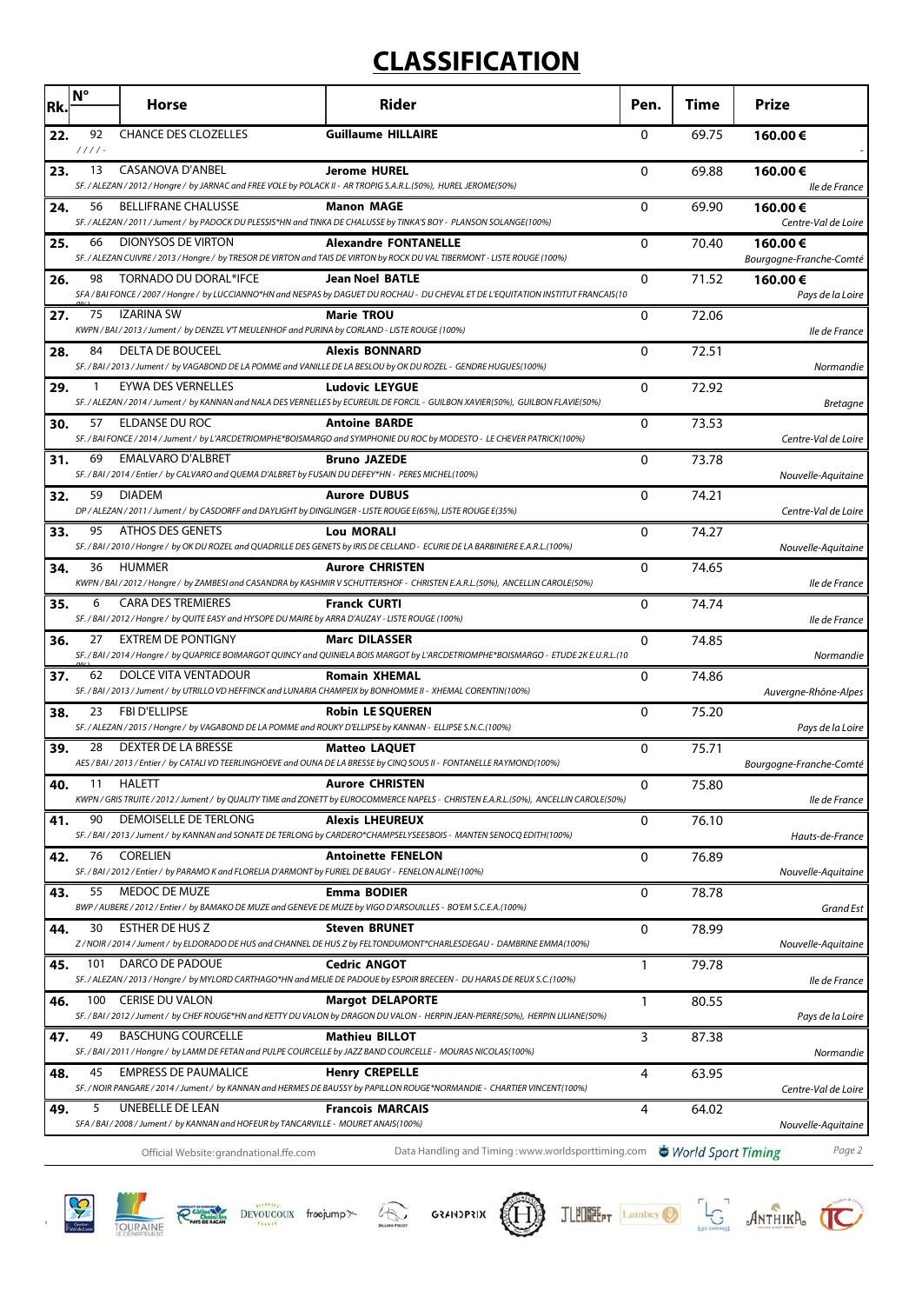# **CLASSIFICATION**

| Rk. | $N^{\circ}$    | <b>Horse</b>                                                                                                                         | Rider                                                                                                                                                           | Pen.     | Time  | <b>Prize</b>                       |
|-----|----------------|--------------------------------------------------------------------------------------------------------------------------------------|-----------------------------------------------------------------------------------------------------------------------------------------------------------------|----------|-------|------------------------------------|
| 22. | 92<br>$1111 -$ | <b>CHANCE DES CLOZELLES</b>                                                                                                          | <b>Guillaume HILLAIRE</b>                                                                                                                                       | 0        | 69.75 | 160.00€                            |
| 23. | 13             | <b>CASANOVA D'ANBEL</b><br>SF./ALEZAN/2012/Hongre/ by JARNAC and FREE VOLE by POLACK II - AR TROPIG S.A.R.L.(50%), HUREL JEROME(50%) | <b>Jerome HUREL</b>                                                                                                                                             | 0        | 69.88 | 160.00€<br>lle de France           |
| 24. | 56             | <b>BELLIFRANE CHALUSSE</b>                                                                                                           | <b>Manon MAGE</b><br>SF./ALEZAN/2011/Jument/ by PADOCK DU PLESSIS*HN and TINKA DE CHALUSSE by TINKA'S BOY - PLANSON SOLANGE(100%)                               | 0        | 69.90 | 160.00€<br>Centre-Val de Loire     |
| 25. | 66             | <b>DIONYSOS DE VIRTON</b>                                                                                                            | <b>Alexandre FONTANELLE</b><br>SF. / ALEZAN CUIVRE / 2013 / Hongre / by TRESOR DE VIRTON and TAIS DE VIRTON by ROCK DU VAL TIBERMONT - LISTE ROUGE (100%)       | 0        | 70.40 | 160.00€<br>Bourgogne-Franche-Comté |
| 26. | 98             | TORNADO DU DORAL*IFCE                                                                                                                | <b>Jean Noel BATLE</b><br>SFA / BAI FONCE / 2007 / Hongre / by LUCCIANNO*HN and NESPAS by DAGUET DU ROCHAU - DU CHEVAL ET DE L'EQUITATION INSTITUT FRANCAIS(10  | 0        | 71.52 | 160.00€<br>Pays de la Loire        |
| 27. | 75             | <b>IZARINA SW</b><br>KWPN / BAI / 2013 / Jument / by DENZEL V'T MEULENHOF and PURINA by CORLAND - LISTE ROUGE (100%)                 | <b>Marie TROU</b>                                                                                                                                               | 0        | 72.06 | lle de France                      |
| 28. | 84             | <b>DELTA DE BOUCEEL</b>                                                                                                              | <b>Alexis BONNARD</b><br>SF./BAI/2013/Jument/ by VAGABOND DE LA POMME and VANILLE DE LA BESLOU by OK DU ROZEL - GENDRE HUGUES(100%)                             | $\Omega$ | 72.51 | Normandie                          |
| 29. | $\mathbf{1}$   | <b>EYWA DES VERNELLES</b>                                                                                                            | <b>Ludovic LEYGUE</b><br>SF. / ALEZAN / 2014 / Jument / by KANNAN and NALA DES VERNELLES by ECUREUIL DE FORCIL - GUILBON XAVIER(50%), GUILBON FLAVIE(50%)       | 0        | 72.92 | <b>Bretagne</b>                    |
| 30. | 57             | ELDANSE DU ROC                                                                                                                       | <b>Antoine BARDE</b><br>SF. / BAI FONCE / 2014 / Jument / by L'ARCDETRIOMPHE*BOISMARGO and SYMPHONIE DU ROC by MODESTO - LE CHEVER PATRICK(100%)                | 0        | 73.53 | Centre-Val de Loire                |
| 31. | 69             | <b>EMALVARO D'ALBRET</b><br>SF./BAI/2014/Entier/ by CALVARO and QUEMA D'ALBRET by FUSAIN DU DEFEY*HN - PERES MICHEL(100%)            | <b>Bruno JAZEDE</b>                                                                                                                                             | 0        | 73.78 | Nouvelle-Aquitaine                 |
| 32. | 59             | <b>DIADEM</b><br>DP / ALEZAN / 2011 / Jument / by CASDORFF and DAYLIGHT by DINGLINGER - LISTE ROUGE E(65%), LISTE ROUGE E(35%)       | <b>Aurore DUBUS</b>                                                                                                                                             | 0        | 74.21 | Centre-Val de Loire                |
| 33. | 95             | ATHOS DES GENETS                                                                                                                     | <b>Lou MORALI</b><br>SF. / BAI / 2010 / Hongre / by OK DU ROZEL and QUADRILLE DES GENETS by IRIS DE CELLAND - ECURIE DE LA BARBINIERE E.A.R.L.(100%)            | 0        | 74.27 | Nouvelle-Aquitaine                 |
| 34. | 36             | <b>HUMMER</b>                                                                                                                        | <b>Aurore CHRISTEN</b><br>KWPN / BAI / 2012 / Hongre / by ZAMBESI and CASANDRA by KASHMIR V SCHUTTERSHOF - CHRISTEN E.A.R.L.(50%), ANCELLIN CAROLE(50%)         | 0        | 74.65 | lle de France                      |
| 35. | 6              | <b>CARA DES TREMIERES</b><br>SF./BAI/2012/Hongre/by QUITE EASY and HYSOPE DU MAIRE by ARRA D'AUZAY - LISTE ROUGE (100%)              | <b>Franck CURTI</b>                                                                                                                                             | 0        | 74.74 | lle de France                      |
| 36. | 27             | <b>EXTREM DE PONTIGNY</b>                                                                                                            | <b>Marc DILASSER</b><br>SF. / BAI / 2014 / Hongre / by QUAPRICE BOIMARGOT QUINCY and QUINIELA BOIS MARGOT by L'ARCDETRIOMPHE*BOISMARGO - ETUDE 2K E.U.R.L.(10   | 0        | 74.85 | Normandie                          |
| 37. | 62             | DOLCE VITA VENTADOUR                                                                                                                 | <b>Romain XHEMAL</b><br>SF. / BAI / 2013 / Jument / by UTRILLO VD HEFFINCK and LUNARIA CHAMPEIX by BONHOMME II - XHEMAL CORENTIN(100%)                          | 0        | 74.86 | Auvergne-Rhône-Alpes               |
| 38. | 23             | <b>FBI D'ELLIPSE</b><br>SF./ALEZAN/2015/Hongre/ by VAGABOND DE LA POMME and ROUKY D'ELLIPSE by KANNAN - ELLIPSE S.N.C.(100%)         | <b>Robin LE SQUEREN</b>                                                                                                                                         | 0        | 75.20 | Pays de la Loire                   |
| 39. | 28             | DEXTER DE LA BRESSE                                                                                                                  | <b>Matteo LAQUET</b><br>AES / BAI / 2013 / Entier / by CATALI VD TEERLINGHOEVE and OUNA DE LA BRESSE by CINQ SOUS II - FONTANELLE RAYMOND(100%)                 | 0        | 75.71 | Bourgogne-Franche-Comté            |
| 40. | 11             | <b>HALLIT</b>                                                                                                                        | <b>Aurore CHRISTEN</b><br>KWPN / GRIS TRUITE / 2012 / Jument / by QUALITY TIME and ZONETT by EUROCOMMERCE NAPELS - CHRISTEN E.A.R.L.(50%), ANCELLIN CAROLE(50%) | 0        | 75.80 | lle de France                      |
| 41. | 90             | DEMOISELLE DE TERLONG                                                                                                                | <b>Alexis LHEUREUX</b><br>SF. / BAI / 2013 / Jument / by KANNAN and SONATE DE TERLONG by CARDERO*CHAMPSELYSEESBOIS - MANTEN SENOCQ EDITH(100%)                  | 0        | 76.10 | Hauts-de-France                    |
| 42. | 76             | <b>CORELIEN</b><br>SF. / BAI / 2012 / Entier / by PARAMO K and FLORELIA D'ARMONT by FURIEL DE BAUGY - FENELON ALINE(100%)            | <b>Antoinette FENELON</b>                                                                                                                                       | 0        | 76.89 | Nouvelle-Aquitaine                 |
| 43. | 55             | MEDOC DE MUZE<br>BWP / AUBERE / 2012 / Entier / by BAMAKO DE MUZE and GENEVE DE MUZE by VIGO D'ARSOUILLES - BO'EM S.C.E.A.(100%)     | <b>Emma BODIER</b>                                                                                                                                              | 0        | 78.78 | Grand Est                          |
| 44. | 30             | ESTHER DE HUS Z                                                                                                                      | <b>Steven BRUNET</b><br>Z/NOIR/2014/Jument/ by ELDORADO DE HUS and CHANNEL DE HUS Z by FELTONDUMONT*CHARLESDEGAU - DAMBRINE EMMA(100%)                          | 0        | 78.99 | Nouvelle-Aquitaine                 |
| 45. | 101            | DARCO DE PADOUE                                                                                                                      | <b>Cedric ANGOT</b><br>SF./ALEZAN/2013/Hongre/ by MYLORD CARTHAGO*HN and MELIE DE PADOUE by ESPOIR BRECEEN - DU HARAS DE REUX S.C.(100%)                        | 1        | 79.78 | lle de France                      |
| 46. | 100            | <b>CERISE DU VALON</b>                                                                                                               | <b>Margot DELAPORTE</b><br>SF. / BAI / 2012 / Jument / by CHEF ROUGE*HN and KETTY DU VALON by DRAGON DU VALON - HERPIN JEAN-PIERRE(50%), HERPIN LILIANE(50%)    | 1        | 80.55 | Pays de la Loire                   |
| 47. | 49             | <b>BASCHUNG COURCELLE</b>                                                                                                            | <b>Mathieu BILLOT</b><br>SF. / BAI / 2011 / Hongre / by LAMM DE FETAN and PULPE COURCELLE by JAZZ BAND COURCELLE - MOURAS NICOLAS(100%)                         | 3        | 87.38 | Normandie                          |
| 48. | 45             | <b>EMPRESS DE PAUMALICE</b>                                                                                                          | <b>Henry CREPELLE</b><br>SF. / NOIR PANGARE / 2014 / Jument / by KANNAN and HERMES DE BAUSSY by PAPILLON ROUGE*NORMANDIE - CHARTIER VINCENT(100%)               | 4        | 63.95 | Centre-Val de Loire                |
| 49. | 5              | UNEBELLE DE LEAN<br>SFA / BAI / 2008 / Jument / by KANNAN and HOFEUR by TANCARVILLE - MOURET ANAIS(100%)                             | <b>Francois MARCAIS</b>                                                                                                                                         | 4        | 64.02 | Nouvelle-Aquitaine                 |
|     |                | Official Website: grandnational.ffe.com                                                                                              | Data Handling and Timing: www.worldsporttiming.com World Sport Timing                                                                                           |          |       | Page 2                             |













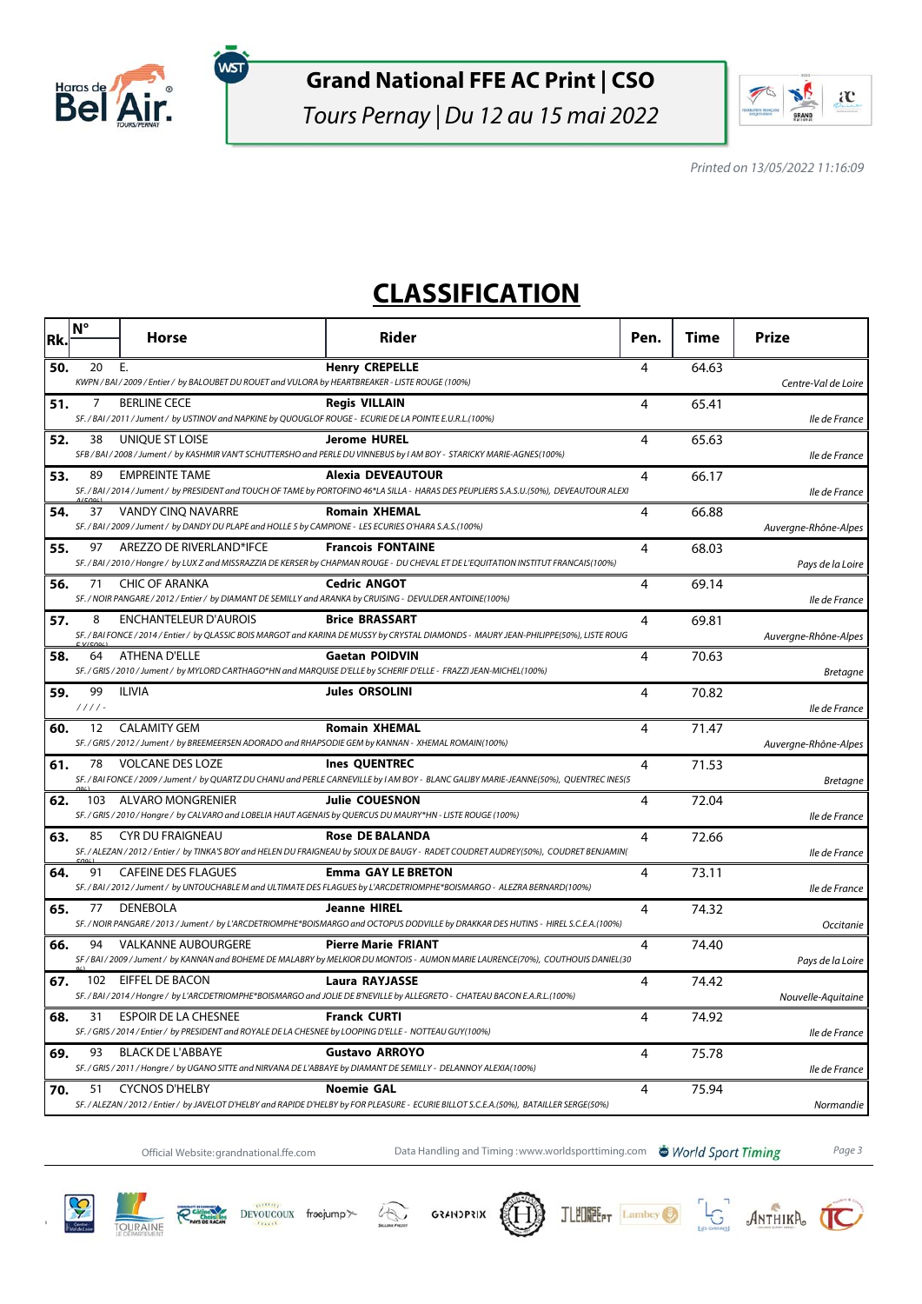

ัพรา

#### **Grand National FFE AC Print | CSO**

Tours Pernay | Du 12 au 15 mai 2022



Printed on 13/05/2022 11:16:09

## **CLASSIFICATION**

| Rk. | $N^{\circ}$    | <b>Horse</b>                                                                                                                          | Rider                                                                                                                                                                 | Pen. | Time  | <b>Prize</b>         |
|-----|----------------|---------------------------------------------------------------------------------------------------------------------------------------|-----------------------------------------------------------------------------------------------------------------------------------------------------------------------|------|-------|----------------------|
| 50. | 20             | Ε.<br>KWPN / BAI / 2009 / Entier / by BALOUBET DU ROUET and VULORA by HEARTBREAKER - LISTE ROUGE (100%)                               | <b>Henry CREPELLE</b>                                                                                                                                                 | 4    | 64.63 | Centre-Val de Loire  |
| 51. | 7              | <b>BERLINE CECE</b><br>SF./BAI/2011/Jument/ by USTINOV and NAPKINE by QUOUGLOF ROUGE - ECURIE DE LA POINTE E.U.R.L.(100%)             | <b>Reais VILLAIN</b>                                                                                                                                                  | 4    | 65.41 | lle de France        |
| 52. | 38             | UNIQUE ST LOISE                                                                                                                       | <b>Jerome HUREL</b><br>SFB / BAI / 2008 / Jument / by KASHMIR VAN'T SCHUTTERSHO and PERLE DU VINNEBUS by I AM BOY - STARICKY MARIE-AGNES(100%)                        | 4    | 65.63 | lle de France        |
| 53. | 89             | <b>EMPREINTE TAME</b>                                                                                                                 | <b>Alexia DEVEAUTOUR</b><br>SF. / BAI / 2014 / Jument / by PRESIDENT and TOUCH OF TAME by PORTOFINO 46*LA SILLA - HARAS DES PEUPLIERS S.A.S.U.(50%), DEVEAUTOUR ALEXI | 4    | 66.17 | lle de France        |
| 54. | 37             | VANDY CINQ NAVARRE<br>SF./BAI/2009/Jument/ by DANDY DU PLAPE and HOLLE 5 by CAMPIONE - LES ECURIES O'HARA S.A.S.(100%)                | <b>Romain XHEMAL</b>                                                                                                                                                  | 4    | 66.88 | Auvergne-Rhône-Alpes |
| 55. | 97             | AREZZO DE RIVERLAND*IFCE                                                                                                              | <b>Francois FONTAINE</b><br>SF. / BAI / 2010 / Hongre / by LUX Z and MISSRAZZIA DE KERSER by CHAPMAN ROUGE - DU CHEVAL ET DE L'EQUITATION INSTITUT FRANCAIS(100%)     | 4    | 68.03 | Pays de la Loire     |
| 56. | 71             | CHIC OF ARANKA<br>SF./NOIR PANGARE/2012/Entier/ by DIAMANT DE SEMILLY and ARANKA by CRUISING - DEVULDER ANTOINE(100%)                 | <b>Cedric ANGOT</b>                                                                                                                                                   | 4    | 69.14 | lle de France        |
| 57. | 8              | <b>ENCHANTELEUR D'AUROIS</b>                                                                                                          | <b>Brice BRASSART</b><br>SF. / BAI FONCE / 2014 / Entier / by QLASSIC BOIS MARGOT and KARINA DE MUSSY by CRYSTAL DIAMONDS - MAURY JEAN-PHILIPPE(50%), LISTE ROUG      | 4    | 69.81 | Auvergne-Rhône-Alpes |
| 58. | 64             | <b>ATHENA D'ELLE</b>                                                                                                                  | <b>Gaetan POIDVIN</b><br>SF. / GRIS / 2010 / Jument / by MYLORD CARTHAGO*HN and MARQUISE D'ELLE by SCHERIF D'ELLE - FRAZZI JEAN-MICHEL(100%)                          | 4    | 70.63 | <b>Bretagne</b>      |
| 59. | 99<br>$1111 -$ | ILIVIA                                                                                                                                | <b>Jules ORSOLINI</b>                                                                                                                                                 | 4    | 70.82 | lle de France        |
| 60. | 12             | <b>CALAMITY GEM</b><br>SF. / GRIS / 2012 / Jument / by BREEMEERSEN ADORADO and RHAPSODIE GEM by KANNAN - XHEMAL ROMAIN(100%)          | <b>Romain XHEMAL</b>                                                                                                                                                  | 4    | 71.47 | Auvergne-Rhône-Alpes |
| 61. | 78             | <b>VOLCANE DES LOZE</b>                                                                                                               | <b>Ines QUENTREC</b><br>SF. / BAI FONCE / 2009 / Jument / by QUARTZ DU CHANU and PERLE CARNEVILLE by I AM BOY - BLANC GALIBY MARIE-JEANNE(50%), QUENTREC INES(5       | 4    | 71.53 | <b>Bretagne</b>      |
| 62. |                | 103 ALVARO MONGRENIER<br>SF. / GRIS / 2010 / Hongre / by CALVARO and LOBELIA HAUT AGENAIS by QUERCUS DU MAURY*HN - LISTE ROUGE (100%) | <b>Julie COUESNON</b>                                                                                                                                                 | 4    | 72.04 | lle de France        |
| 63. | 85             | <b>CYR DU FRAIGNEAU</b>                                                                                                               | <b>Rose DE BALANDA</b><br>SF. / ALEZAN / 2012 / Entier / by TINKA'S BOY and HELEN DU FRAIGNEAU by SIOUX DE BAUGY - RADET COUDRET AUDREY(50%), COUDRET BENJAMIN(       | 4    | 72.66 | lle de France        |
| 64. | 91             | <b>CAFEINE DES FLAGUES</b>                                                                                                            | <b>Emma GAY LE BRETON</b><br>SF. / BAI / 2012 / Jument / by UNTOUCHABLE M and ULTIMATE DES FLAGUES by L'ARCDETRIOMPHE*BOISMARGO - ALEZRA BERNARD(100%)                | 4    | 73.11 | lle de France        |
| 65. | 77             | DENEBOLA                                                                                                                              | <b>Jeanne HIREL</b><br>SF. / NOIR PANGARE / 2013 / Jument / by L'ARCDETRIOMPHE*BOISMARGO and OCTOPUS DODVILLE by DRAKKAR DES HUTINS - HIREL S.C.E.A.(100%)            | 4    | 74.32 | Occitanie            |
| 66. | 94             | <b>VALKANNE AUBOURGERE</b>                                                                                                            | <b>Pierre Marie FRIANT</b><br>SF / BAI / 2009 / Jument / by KANNAN and BOHEME DE MALABRY by MELKIOR DU MONTOIS - AUMON MARIE LAURENCE(70%), COUTHOUIS DANIEL(30       | 4    | 74.40 | Pays de la Loire     |
| 67. |                | 102 EIFFEL DE BACON                                                                                                                   | <b>Laura RAYJASSE</b><br>SF. / BAI / 2014 / Hongre / by L'ARCDETRIOMPHE*BOISMARGO and JOLIE DE B'NEVILLE by ALLEGRETO - CHATEAU BACON E.A.R.L.(100%)                  | 4    | 74.42 | Nouvelle-Aquitaine   |
| 68. | 31             | ESPOIR DE LA CHESNEE<br>SF. / GRIS / 2014 / Entier / by PRESIDENT and ROYALE DE LA CHESNEE by LOOPING D'ELLE - NOTTEAU GUY(100%)      | <b>Franck CURTI</b>                                                                                                                                                   | 4    | 74.92 | lle de France        |
| 69. | 93             | <b>BLACK DE L'ABBAYE</b>                                                                                                              | <b>Gustavo ARROYO</b><br>SF. / GRIS / 2011 / Hongre / by UGANO SITTE and NIRVANA DE L'ABBAYE by DIAMANT DE SEMILLY - DELANNOY ALEXIA(100%)                            | 4    | 75.78 | lle de France        |
| 70. | 51             | <b>CYCNOS D'HELBY</b>                                                                                                                 | <b>Noemie GAL</b><br>SF. / ALEZAN / 2012 / Entier / by JAVELOT D'HELBY and RAPIDE D'HELBY by FOR PLEASURE - ECURIE BILLOT S.C.E.A.(50%), BATAILLER SERGE(50%)         | 4    | 75.94 | Normandie            |

Official Website:grandnational.ffe.com Data Handling and Timing :www.worldsporttiming.com **& World Sport Timing** Page 3







谷







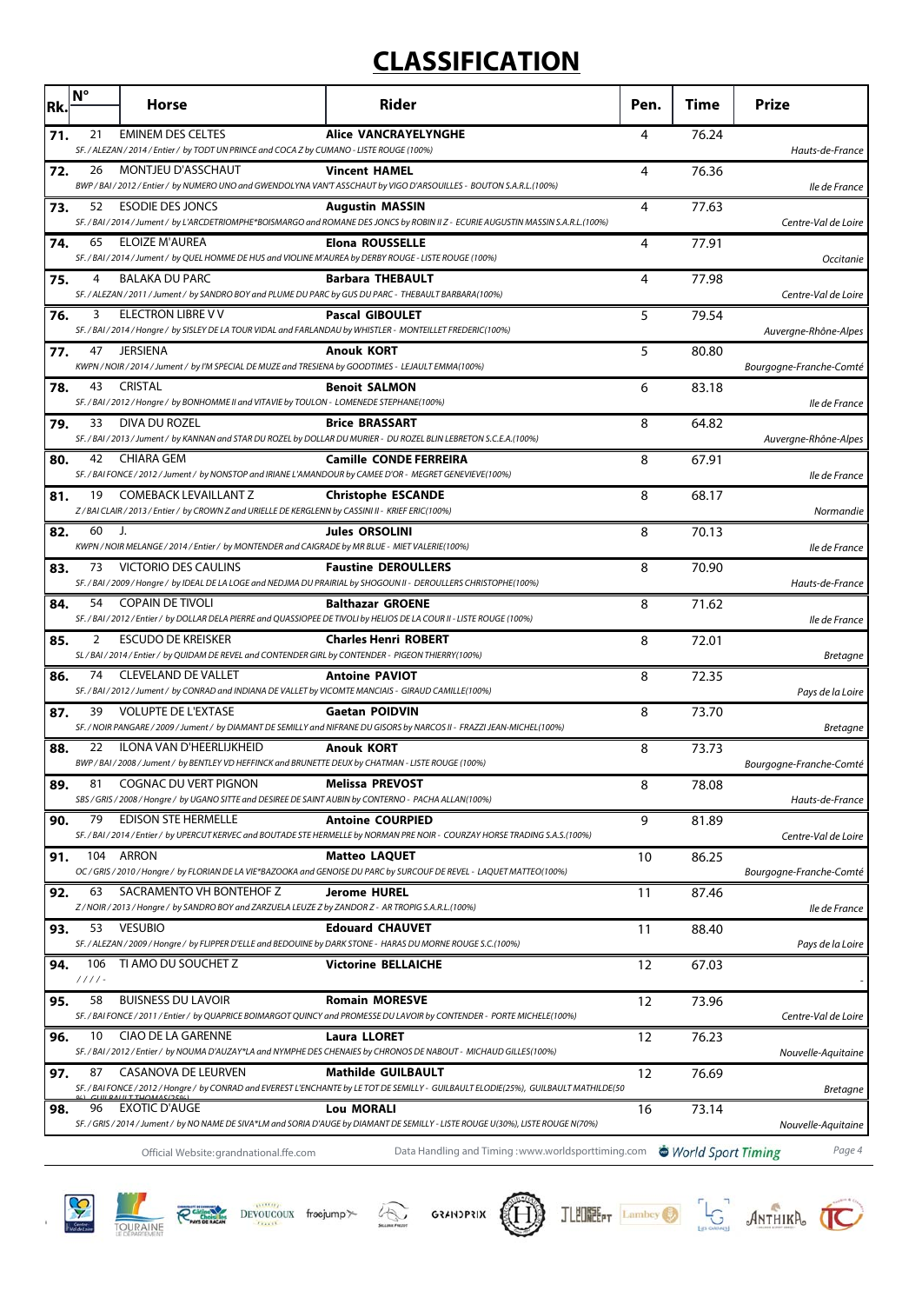# **CLASSIFICATION**

| Rk. | $N^{\circ}$    | <b>Horse</b>                                                                                                                         | Rider                                                                                                                                                                                                       | Pen. | Time  | <b>Prize</b>                 |
|-----|----------------|--------------------------------------------------------------------------------------------------------------------------------------|-------------------------------------------------------------------------------------------------------------------------------------------------------------------------------------------------------------|------|-------|------------------------------|
| 71. | 21             | <b>EMINEM DES CELTES</b><br>SF./ALEZAN/2014/Entier/ by TODT UN PRINCE and COCA Z by CUMANO - LISTE ROUGE (100%)                      | <b>Alice VANCRAYELYNGHE</b>                                                                                                                                                                                 | 4    | 76.24 | Hauts-de-France              |
| 72. | 26             | MONTJEU D'ASSCHAUT                                                                                                                   | <b>Vincent HAMEL</b>                                                                                                                                                                                        | 4    | 76.36 |                              |
| 73. | 52             | <b>ESODIE DES JONCS</b>                                                                                                              | BWP / BAI / 2012 / Entier / by NUMERO UNO and GWENDOLYNA VAN'T ASSCHAUT by VIGO D'ARSOUILLES - BOUTON S.A.R.L.(100%)<br><b>Augustin MASSIN</b>                                                              | 4    | 77.63 | lle de France                |
|     |                |                                                                                                                                      | SF. / BAI / 2014 / Jument / by L'ARCDETRIOMPHE*BOISMARGO and ROMANE DES JONCS by ROBIN II Z - ECURIE AUGUSTIN MASSIN S.A.R.L.(100%)                                                                         |      |       | Centre-Val de Loire          |
| 74. | 65             | <b>ELOIZE M'AUREA</b><br>SF./BAI/2014/Jument/ by QUEL HOMME DE HUS and VIOLINE M'AUREA by DERBY ROUGE - LISTE ROUGE (100%)           | Elona ROUSSELLE                                                                                                                                                                                             | 4    | 77.91 | Occitanie                    |
| 75. | 4              | <b>BALAKA DU PARC</b><br>SF./ALEZAN/2011/Jument/ by SANDRO BOY and PLUME DU PARC by GUS DU PARC - THEBAULT BARBARA(100%)             | <b>Barbara THEBAULT</b>                                                                                                                                                                                     | 4    | 77.98 | Centre-Val de Loire          |
| 76. | 3              | <b>ELECTRON LIBRE V V</b><br>SF./BAI/2014/Hongre/ by SISLEY DE LA TOUR VIDAL and FARLANDAU by WHISTLER - MONTEILLET FREDERIC(100%)   | <b>Pascal GIBOULET</b>                                                                                                                                                                                      | 5    | 79.54 | Auvergne-Rhône-Alpes         |
| 77. | 47             | <b>JERSIENA</b><br>KWPN / NOIR / 2014 / Jument / by I'M SPECIAL DE MUZE and TRESIENA by GOODTIMES - LEJAULT EMMA(100%)               | <b>Anouk KORT</b>                                                                                                                                                                                           | 5    | 80.80 | Bourgogne-Franche-Comté      |
| 78. | 43             | <b>CRISTAL</b>                                                                                                                       | <b>Benoit SALMON</b>                                                                                                                                                                                        | 6    | 83.18 |                              |
| 79. | 33             | SF./BAI/2012/Hongre/ by BONHOMME II and VITAVIE by TOULON - LOMENEDE STEPHANE(100%)<br>DIVA DU ROZEL                                 | <b>Brice BRASSART</b>                                                                                                                                                                                       | 8    | 64.82 | lle de France                |
|     |                |                                                                                                                                      | SF. / BAI / 2013 / Jument / by KANNAN and STAR DU ROZEL by DOLLAR DU MURIER - DU ROZEL BLIN LEBRETON S.C.E.A.(100%)                                                                                         |      |       | Auvergne-Rhône-Alpes         |
| 80. | 42             | <b>CHIARA GEM</b><br>SF./BAI FONCE/2012/Jument/ by NONSTOP and IRIANE L'AMANDOUR by CAMEE D'OR - MEGRET GENEVIEVE(100%)              | <b>Camille CONDE FERREIRA</b>                                                                                                                                                                               | 8    | 67.91 | lle de France                |
| 81. | 19             | <b>COMEBACK LEVAILLANT Z</b><br>Z / BAI CLAIR / 2013 / Entier / by CROWN Z and URIELLE DE KERGLENN by CASSINI II - KRIEF ERIC(100%)  | <b>Christophe ESCANDE</b>                                                                                                                                                                                   | 8    | 68.17 | Normandie                    |
| 82. | 60             | J.<br>KWPN / NOIR MELANGE / 2014 / Entier / by MONTENDER and CAIGRADE by MR BLUE - MIET VALERIE(100%)                                | Jules ORSOLINI                                                                                                                                                                                              | 8    | 70.13 | lle de France                |
| 83. | 73             | VICTORIO DES CAULINS                                                                                                                 | <b>Faustine DEROULLERS</b>                                                                                                                                                                                  | 8    | 70.90 |                              |
| 84. | 54             | <b>COPAIN DE TIVOLI</b>                                                                                                              | SF. / BAI / 2009 / Hongre / by IDEAL DE LA LOGE and NEDJMA DU PRAIRIAL by SHOGOUN II - DEROULLERS CHRISTOPHE(100%)<br><b>Balthazar GROENE</b>                                                               | 8    | 71.62 | Hauts-de-France              |
|     |                |                                                                                                                                      | SF. / BAI / 2012 / Entier / by DOLLAR DELA PIERRE and QUASSIOPEE DE TIVOLI by HELIOS DE LA COUR II - LISTE ROUGE (100%)                                                                                     |      |       | lle de France                |
| 85. | 2              | <b>ESCUDO DE KREISKER</b><br>SL / BAI / 2014 / Entier / by QUIDAM DE REVEL and CONTENDER GIRL by CONTENDER - PIGEON THIERRY(100%)    | <b>Charles Henri ROBERT</b>                                                                                                                                                                                 | 8    | 72.01 | Bretagne                     |
| 86. | 74             | <b>CLEVELAND DE VALLET</b><br>SF. / BAI / 2012 / Jument / by CONRAD and INDIANA DE VALLET by VICOMTE MANCIAIS - GIRAUD CAMILLE(100%) | <b>Antoine PAVIOT</b>                                                                                                                                                                                       | 8    | 72.35 | Pays de la Loire             |
| 87. | 39             | <b>VOLUPTE DE L'EXTASE</b>                                                                                                           | <b>Gaetan POIDVIN</b><br>SF. / NOIR PANGARE / 2009 / Jument / by DIAMANT DE SEMILLY and NIFRANE DU GISORS by NARCOS II - FRAZZI JEAN-MICHEL(100%)                                                           | 8    | 73.70 | Bretagne                     |
| 88. | 22             | ILONA VAN D'HEERLIJKHEID                                                                                                             | <b>Anouk KORT</b>                                                                                                                                                                                           | 8    | 73.73 |                              |
| 89. | 81             | BWP / BAI / 2008 / Jument / by BENTLEY VD HEFFINCK and BRUNETTE DEUX by CHATMAN - LISTE ROUGE (100%)<br>COGNAC DU VERT PIGNON        | Melissa PREVOST                                                                                                                                                                                             | 8    | 78.08 | Bourgogne-Franche-Comté      |
|     |                | SBS / GRIS / 2008 / Hongre / by UGANO SITTE and DESIREE DE SAINT AUBIN by CONTERNO - PACHA ALLAN(100%)<br><b>EDISON STE HERMELLE</b> |                                                                                                                                                                                                             |      |       | Hauts-de-France              |
| 90. | 79             |                                                                                                                                      | <b>Antoine COURPIED</b><br>SF. / BAI / 2014 / Entier / by UPERCUT KERVEC and BOUTADE STE HERMELLE by NORMAN PRE NOIR - COURZAY HORSE TRADING S.A.S.(100%)                                                   | 9    | 81.89 | Centre-Val de Loire          |
| 91. | 104            | <b>ARRON</b>                                                                                                                         | <b>Matteo LAQUET</b><br>OC / GRIS / 2010 / Hongre / by FLORIAN DE LA VIE*BAZOOKA and GENOISE DU PARC by SURCOUF DE REVEL - LAQUET MATTEO(100%)                                                              | 10   | 86.25 | Bourgogne-Franche-Comté      |
| 92. | 63             | SACRAMENTO VH BONTEHOF Z<br>Z/NOIR/2013/Hongre/ by SANDRO BOY and ZARZUELA LEUZE Z by ZANDOR Z - AR TROPIG S.A.R.L.(100%)            | Jerome HUREL                                                                                                                                                                                                | 11   | 87.46 | lle de France                |
| 93. | 53             | <b>VESUBIO</b>                                                                                                                       | <b>Edouard CHAUVET</b>                                                                                                                                                                                      | 11   | 88.40 |                              |
| 94. | 106            | SF./ALEZAN/2009/Hongre/ by FLIPPER D'ELLE and BEDOUINE by DARK STONE - HARAS DU MORNE ROUGE S.C.(100%)<br>TI AMO DU SOUCHET Z        | <b>Victorine BELLAICHE</b>                                                                                                                                                                                  | 12   | 67.03 | Pays de la Loire             |
|     | $1111 -$<br>58 | <b>BUISNESS DU LAVOIR</b>                                                                                                            |                                                                                                                                                                                                             |      |       |                              |
| 95. |                |                                                                                                                                      | <b>Romain MORESVE</b><br>SF. / BAI FONCE / 2011 / Entier / by QUAPRICE BOIMARGOT QUINCY and PROMESSE DU LAVOIR by CONTENDER - PORTE MICHELE(100%)                                                           | 12   | 73.96 | Centre-Val de Loire          |
| 96. | 10             | CIAO DE LA GARENNE                                                                                                                   | Laura LLORET<br>SF. / BAI / 2012 / Entier / by NOUMA D'AUZAY*LA and NYMPHE DES CHENAIES by CHRONOS DE NABOUT - MICHAUD GILLES(100%)                                                                         | 12   | 76.23 | Nouvelle-Aquitaine           |
| 97. | 87             | CASANOVA DE LEURVEN                                                                                                                  | <b>Mathilde GUILBAULT</b><br>SF. / BAI FONCE / 2012 / Hongre / by CONRAD and EVEREST L'ENCHANTE by LE TOT DE SEMILLY - GUILBAULT ELODIE(25%), GUILBAULT MATHILDE(50                                         | 12   | 76.69 | <b>Bretagne</b>              |
| 98. | 96             | <b>EXOTIC D'AUGE</b>                                                                                                                 | <b>Lou MORALI</b>                                                                                                                                                                                           | 16   | 73.14 |                              |
|     |                | Official Website: grandnational.ffe.com                                                                                              | SF. / GRIS / 2014 / Jument / by NO NAME DE SIVA*LM and SORIA D'AUGE by DIAMANT DE SEMILLY - LISTE ROUGE U(30%), LISTE ROUGE N(70%)<br>Data Handling and Timing: www.worldsporttiming.com World Sport Timing |      |       | Nouvelle-Aquitaine<br>Page 4 |